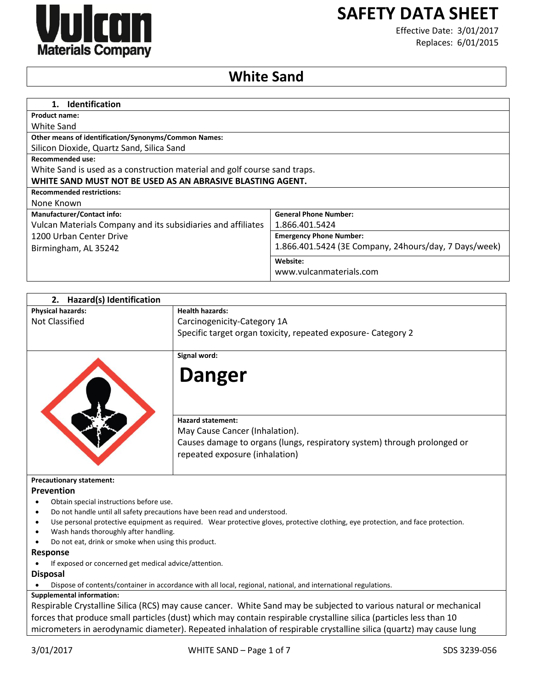

# **SAFETY DATA SHEET**

Effective Date: 3/01/2017 Replaces: 6/01/2015

# **White Sand**

| <b>Identification</b><br>1.                                               |                                                       |
|---------------------------------------------------------------------------|-------------------------------------------------------|
| <b>Product name:</b>                                                      |                                                       |
| White Sand                                                                |                                                       |
| <b>Other means of identification/Synonyms/Common Names:</b>               |                                                       |
| Silicon Dioxide, Quartz Sand, Silica Sand                                 |                                                       |
| <b>Recommended use:</b>                                                   |                                                       |
| White Sand is used as a construction material and golf course sand traps. |                                                       |
| WHITE SAND MUST NOT BE USED AS AN ABRASIVE BLASTING AGENT.                |                                                       |
| <b>Recommended restrictions:</b>                                          |                                                       |
| None Known                                                                |                                                       |
| <b>Manufacturer/Contact info:</b>                                         | <b>General Phone Number:</b>                          |
| Vulcan Materials Company and its subsidiaries and affiliates              | 1.866.401.5424                                        |
| 1200 Urban Center Drive                                                   | <b>Emergency Phone Number:</b>                        |
| Birmingham, AL 35242                                                      | 1.866.401.5424 (3E Company, 24hours/day, 7 Days/week) |
|                                                                           | Website:                                              |
|                                                                           | www.vulcanmaterials.com                               |

| Hazard(s) Identification<br>2.                                            |                                                                                                                                  |
|---------------------------------------------------------------------------|----------------------------------------------------------------------------------------------------------------------------------|
| <b>Physical hazards:</b>                                                  | <b>Health hazards:</b>                                                                                                           |
| <b>Not Classified</b>                                                     | Carcinogenicity-Category 1A                                                                                                      |
|                                                                           | Specific target organ toxicity, repeated exposure- Category 2                                                                    |
|                                                                           |                                                                                                                                  |
|                                                                           | Signal word:                                                                                                                     |
|                                                                           | <b>Danger</b>                                                                                                                    |
|                                                                           | <b>Hazard statement:</b>                                                                                                         |
|                                                                           | May Cause Cancer (Inhalation).                                                                                                   |
|                                                                           | Causes damage to organs (lungs, respiratory system) through prolonged or                                                         |
|                                                                           | repeated exposure (inhalation)                                                                                                   |
| <b>Precautionary statement:</b>                                           |                                                                                                                                  |
| Prevention                                                                |                                                                                                                                  |
| Obtain special instructions before use.                                   |                                                                                                                                  |
| Do not handle until all safety precautions have been read and understood. |                                                                                                                                  |
|                                                                           | Use personal protective equipment as required. Wear protective gloves, protective clothing, eye protection, and face protection. |
| Wash hands thoroughly after handling.                                     |                                                                                                                                  |
| Do not eat, drink or smoke when using this product.                       |                                                                                                                                  |
| <b>Response</b>                                                           |                                                                                                                                  |
| If exposed or concerned get medical advice/attention.                     |                                                                                                                                  |
| <b>Disposal</b>                                                           |                                                                                                                                  |
|                                                                           | Dispose of contents/container in accordance with all local, regional, national, and international regulations.                   |
| <b>Supplemental information:</b>                                          |                                                                                                                                  |
|                                                                           | $\mathbf{r}$                                                                                                                     |

Respirable Crystalline Silica (RCS) may cause cancer. White Sand may be subjected to various natural or mechanical forces that produce small particles (dust) which may contain respirable crystalline silica (particles less than 10 micrometers in aerodynamic diameter). Repeated inhalation of respirable crystalline silica (quartz) may cause lung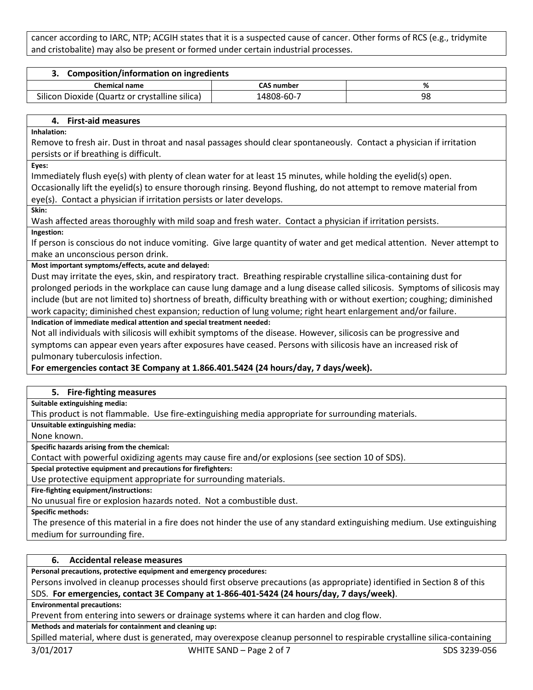cancer according to IARC, NTP; ACGIH states that it is a suspected cause of cancer. Other forms of RCS (e.g., tridymite and cristobalite) may also be present or formed under certain industrial processes.

| 3. Composition/information on ingredients      |                   |    |
|------------------------------------------------|-------------------|----|
| <b>Chemical name</b>                           | <b>CAS number</b> |    |
| Silicon Dioxide (Quartz or crystalline silica) | 14808-60-7        | 98 |

#### **4. First-aid measures**

**Inhalation:**

Remove to fresh air. Dust in throat and nasal passages should clear spontaneously. Contact a physician if irritation persists or if breathing is difficult.

**Eyes:**

Immediately flush eye(s) with plenty of clean water for at least 15 minutes, while holding the eyelid(s) open.

Occasionally lift the eyelid(s) to ensure thorough rinsing. Beyond flushing, do not attempt to remove material from eye(s). Contact a physician if irritation persists or later develops.

**Skin:**

Wash affected areas thoroughly with mild soap and fresh water. Contact a physician if irritation persists. **Ingestion:**

If person is conscious do not induce vomiting. Give large quantity of water and get medical attention. Never attempt to make an unconscious person drink.

#### **Most important symptoms/effects, acute and delayed:**

Dust may irritate the eyes, skin, and respiratory tract. Breathing respirable crystalline silica-containing dust for prolonged periods in the workplace can cause lung damage and a lung disease called silicosis. Symptoms of silicosis may include (but are not limited to) shortness of breath, difficulty breathing with or without exertion; coughing; diminished work capacity; diminished chest expansion; reduction of lung volume; right heart enlargement and/or failure.

#### **Indication of immediate medical attention and special treatment needed:**

Not all individuals with silicosis will exhibit symptoms of the disease. However, silicosis can be progressive and symptoms can appear even years after exposures have ceased. Persons with silicosis have an increased risk of pulmonary tuberculosis infection.

#### **For emergencies contact 3E Company at 1.866.401.5424 (24 hours/day, 7 days/week).**

#### **5. Fire-fighting measures**

**Suitable extinguishing media:**

This product is not flammable. Use fire-extinguishing media appropriate for surrounding materials.

**Unsuitable extinguishing media:**

None known.

**Specific hazards arising from the chemical:**

Contact with powerful oxidizing agents may cause fire and/or explosions (see section 10 of SDS).

**Special protective equipment and precautions for firefighters:**

Use protective equipment appropriate for surrounding materials.

**Fire-fighting equipment/instructions:**

No unusual fire or explosion hazards noted. Not a combustible dust.

**Specific methods:**

The presence of this material in a fire does not hinder the use of any standard extinguishing medium. Use extinguishing medium for surrounding fire.

## **6. Accidental release measures**

**Personal precautions, protective equipment and emergency procedures:**

Persons involved in cleanup processes should first observe precautions (as appropriate) identified in Section 8 of this SDS. **For emergencies, contact 3E Company at 1-866-401-5424 (24 hours/day, 7 days/week)**.

**Environmental precautions:**

Prevent from entering into sewers or drainage systems where it can harden and clog flow.

**Methods and materials for containment and cleaning up:**

Spilled material, where dust is generated, may overexpose cleanup personnel to respirable crystalline silica-containing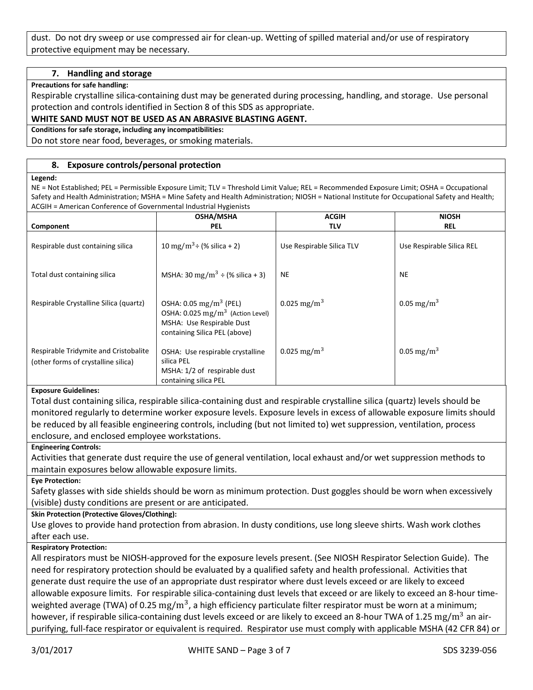dust. Do not dry sweep or use compressed air for clean-up. Wetting of spilled material and/or use of respiratory protective equipment may be necessary.

#### **7. Handling and storage**

#### **Precautions for safe handling:**

Respirable crystalline silica-containing dust may be generated during processing, handling, and storage. Use personal protection and controls identified in Section 8 of this SDS as appropriate.

#### **WHITE SAND MUST NOT BE USED AS AN ABRASIVE BLASTING AGENT.**

**Conditions for safe storage, including any incompatibilities:**

Do not store near food, beverages, or smoking materials.

#### **8. Exposure controls/personal protection**

#### **Legend:**

NE = Not Established; PEL = Permissible Exposure Limit; TLV = Threshold Limit Value; REL = Recommended Exposure Limit; OSHA = Occupational Safety and Health Administration; MSHA = Mine Safety and Health Administration; NIOSH = National Institute for Occupational Safety and Health; ACGIH = American Conference of Governmental Industrial Hygienists

|                                                                              | <b>OSHA/MSHA</b>                                                                                                                                     | <b>ACGIH</b>              | <b>NIOSH</b>              |
|------------------------------------------------------------------------------|------------------------------------------------------------------------------------------------------------------------------------------------------|---------------------------|---------------------------|
| Component                                                                    | <b>PEL</b>                                                                                                                                           | TLV                       | <b>REL</b>                |
| Respirable dust containing silica                                            | 10 mg/m <sup>3</sup> ÷ (% silica + 2)                                                                                                                | Use Respirable Silica TLV | Use Respirable Silica REL |
| Total dust containing silica                                                 | MSHA: 30 mg/m <sup>3</sup> ÷ (% silica + 3)                                                                                                          | <b>NE</b>                 | <b>NE</b>                 |
| Respirable Crystalline Silica (quartz)                                       | OSHA: $0.05 \,\mathrm{mg/m^3}$ (PEL)<br>OSHA: $0.025$ mg/m <sup>3</sup> (Action Level)<br>MSHA: Use Respirable Dust<br>containing Silica PEL (above) | 0.025 mg/m <sup>3</sup>   | 0.05 mg/m <sup>3</sup>    |
| Respirable Tridymite and Cristobalite<br>(other forms of crystalline silica) | OSHA: Use respirable crystalline<br>silica PEL<br>MSHA: 1/2 of respirable dust<br>containing silica PEL                                              | 0.025 mg/m <sup>3</sup>   | $0.05 \,\mathrm{mg/m^3}$  |

#### **Exposure Guidelines:**

Total dust containing silica, respirable silica-containing dust and respirable crystalline silica (quartz) levels should be monitored regularly to determine worker exposure levels. Exposure levels in excess of allowable exposure limits should be reduced by all feasible engineering controls, including (but not limited to) wet suppression, ventilation, process enclosure, and enclosed employee workstations.

#### **Engineering Controls:**

Activities that generate dust require the use of general ventilation, local exhaust and/or wet suppression methods to maintain exposures below allowable exposure limits.

#### **Eye Protection:**

Safety glasses with side shields should be worn as minimum protection. Dust goggles should be worn when excessively (visible) dusty conditions are present or are anticipated.

#### **Skin Protection (Protective Gloves/Clothing):**

Use gloves to provide hand protection from abrasion. In dusty conditions, use long sleeve shirts. Wash work clothes after each use.

#### **Respiratory Protection:**

All respirators must be NIOSH-approved for the exposure levels present. (See NIOSH Respirator Selection Guide). The need for respiratory protection should be evaluated by a qualified safety and health professional. Activities that generate dust require the use of an appropriate dust respirator where dust levels exceed or are likely to exceed allowable exposure limits. For respirable silica-containing dust levels that exceed or are likely to exceed an 8-hour timeweighted average (TWA) of 0.25  $\rm mg/m^3$ , a high efficiency particulate filter respirator must be worn at a minimum; however, if respirable silica-containing dust levels exceed or are likely to exceed an 8-hour TWA of 1.25 mg/m<sup>3</sup> an airpurifying, full-face respirator or equivalent is required. Respirator use must comply with applicable MSHA (42 CFR 84) or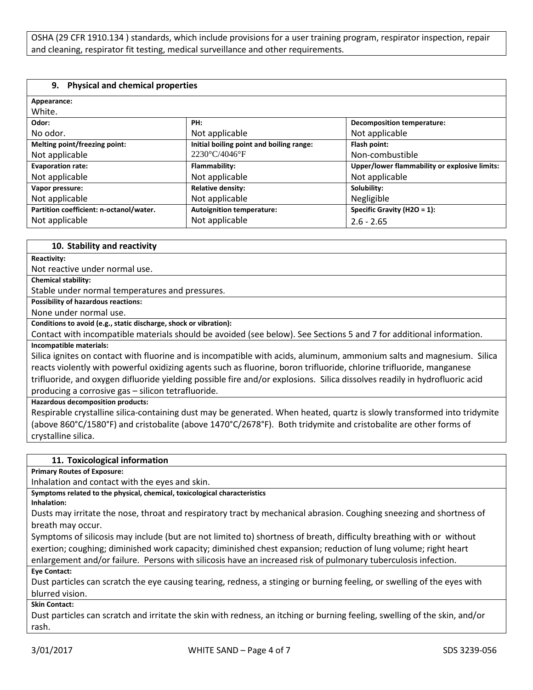OSHA (29 CFR 1910.134 ) standards, which include provisions for a user training program, respirator inspection, repair and cleaning, respirator fit testing, medical surveillance and other requirements.

#### **9. Physical and chemical properties**

| Appearance:                             |                                          |                                               |
|-----------------------------------------|------------------------------------------|-----------------------------------------------|
| White.                                  |                                          |                                               |
| Odor:                                   | PH:                                      | <b>Decomposition temperature:</b>             |
| No odor.                                | Not applicable                           | Not applicable                                |
| Melting point/freezing point:           | Initial boiling point and boiling range: | Flash point:                                  |
| Not applicable                          | $2230^{\circ}$ C/4046 $^{\circ}$ F       | Non-combustible                               |
| <b>Evaporation rate:</b>                | Flammability:                            | Upper/lower flammability or explosive limits: |
| Not applicable                          | Not applicable                           | Not applicable                                |
| Vapor pressure:                         | <b>Relative density:</b>                 | Solubility:                                   |
| Not applicable                          | Not applicable                           | Negligible                                    |
| Partition coefficient: n-octanol/water. | <b>Autoignition temperature:</b>         | Specific Gravity (H2O = 1):                   |
| Not applicable                          | Not applicable                           | $2.6 - 2.65$                                  |

#### **10. Stability and reactivity**

**Reactivity:**

Not reactive under normal use.

**Chemical stability:**

Stable under normal temperatures and pressures.

**Possibility of hazardous reactions:**

None under normal use.

**Conditions to avoid (e.g., static discharge, shock or vibration):**

Contact with incompatible materials should be avoided (see below). See Sections 5 and 7 for additional information. **Incompatible materials:**

Silica ignites on contact with fluorine and is incompatible with acids, aluminum, ammonium salts and magnesium. Silica reacts violently with powerful oxidizing agents such as fluorine, boron trifluoride, chlorine trifluoride, manganese trifluoride, and oxygen difluoride yielding possible fire and/or explosions. Silica dissolves readily in hydrofluoric acid producing a corrosive gas – silicon tetrafluoride.

**Hazardous decomposition products:**

Respirable crystalline silica-containing dust may be generated. When heated, quartz is slowly transformed into tridymite (above 860°C/1580°F) and cristobalite (above 1470°C/2678°F). Both tridymite and cristobalite are other forms of crystalline silica.

#### **11. Toxicological information**

**Primary Routes of Exposure:**

Inhalation and contact with the eyes and skin.

**Symptoms related to the physical, chemical, toxicological characteristics**

**Inhalation:**

Dusts may irritate the nose, throat and respiratory tract by mechanical abrasion. Coughing sneezing and shortness of breath may occur.

Symptoms of silicosis may include (but are not limited to) shortness of breath, difficulty breathing with or without exertion; coughing; diminished work capacity; diminished chest expansion; reduction of lung volume; right heart enlargement and/or failure. Persons with silicosis have an increased risk of pulmonary tuberculosis infection.

**Eye Contact:**

Dust particles can scratch the eye causing tearing, redness, a stinging or burning feeling, or swelling of the eyes with blurred vision.

**Skin Contact:**

Dust particles can scratch and irritate the skin with redness, an itching or burning feeling, swelling of the skin, and/or rash.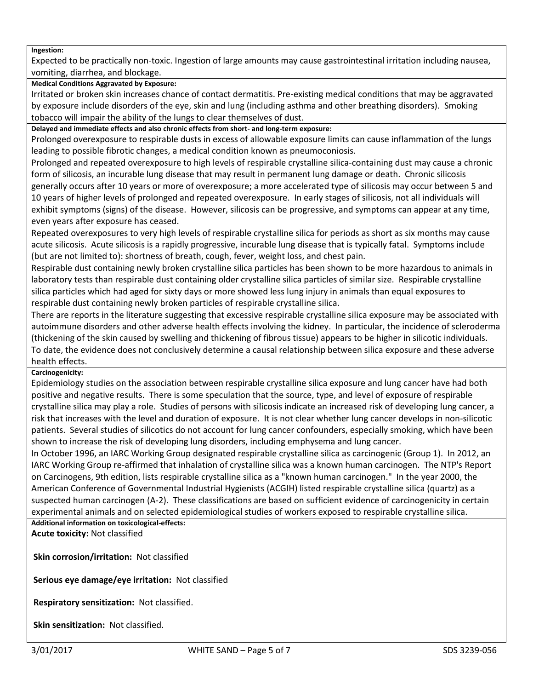#### **Ingestion:**

Expected to be practically non-toxic. Ingestion of large amounts may cause gastrointestinal irritation including nausea, vomiting, diarrhea, and blockage.

#### **Medical Conditions Aggravated by Exposure:**

Irritated or broken skin increases chance of contact dermatitis. Pre-existing medical conditions that may be aggravated by exposure include disorders of the eye, skin and lung (including asthma and other breathing disorders). Smoking tobacco will impair the ability of the lungs to clear themselves of dust.

**Delayed and immediate effects and also chronic effects from short- and long-term exposure:**

Prolonged overexposure to respirable dusts in excess of allowable exposure limits can cause inflammation of the lungs leading to possible fibrotic changes, a medical condition known as pneumoconiosis.

Prolonged and repeated overexposure to high levels of respirable crystalline silica-containing dust may cause a chronic form of silicosis, an incurable lung disease that may result in permanent lung damage or death. Chronic silicosis generally occurs after 10 years or more of overexposure; a more accelerated type of silicosis may occur between 5 and 10 years of higher levels of prolonged and repeated overexposure. In early stages of silicosis, not all individuals will exhibit symptoms (signs) of the disease. However, silicosis can be progressive, and symptoms can appear at any time, even years after exposure has ceased.

Repeated overexposures to very high levels of respirable crystalline silica for periods as short as six months may cause acute silicosis. Acute silicosis is a rapidly progressive, incurable lung disease that is typically fatal. Symptoms include (but are not limited to): shortness of breath, cough, fever, weight loss, and chest pain.

Respirable dust containing newly broken crystalline silica particles has been shown to be more hazardous to animals in laboratory tests than respirable dust containing older crystalline silica particles of similar size. Respirable crystalline silica particles which had aged for sixty days or more showed less lung injury in animals than equal exposures to respirable dust containing newly broken particles of respirable crystalline silica.

There are reports in the literature suggesting that excessive respirable crystalline silica exposure may be associated with autoimmune disorders and other adverse health effects involving the kidney. In particular, the incidence of scleroderma (thickening of the skin caused by swelling and thickening of fibrous tissue) appears to be higher in silicotic individuals. To date, the evidence does not conclusively determine a causal relationship between silica exposure and these adverse health effects.

#### **Carcinogenicity:**

Epidemiology studies on the association between respirable crystalline silica exposure and lung cancer have had both positive and negative results. There is some speculation that the source, type, and level of exposure of respirable crystalline silica may play a role. Studies of persons with silicosis indicate an increased risk of developing lung cancer, a risk that increases with the level and duration of exposure. It is not clear whether lung cancer develops in non-silicotic patients. Several studies of silicotics do not account for lung cancer confounders, especially smoking, which have been shown to increase the risk of developing lung disorders, including emphysema and lung cancer.

In October 1996, an IARC Working Group designated respirable crystalline silica as carcinogenic (Group 1). In 2012, an IARC Working Group re-affirmed that inhalation of crystalline silica was a known human carcinogen. The NTP's Report on Carcinogens, 9th edition, lists respirable crystalline silica as a "known human carcinogen." In the year 2000, the American Conference of Governmental Industrial Hygienists (ACGIH) listed respirable crystalline silica (quartz) as a suspected human carcinogen (A-2). These classifications are based on sufficient evidence of carcinogenicity in certain experimental animals and on selected epidemiological studies of workers exposed to respirable crystalline silica.

**Additional information on toxicological-effects: Acute toxicity:** Not classified

**Skin corrosion/irritation:** Not classified

**Serious eye damage/eye irritation:** Not classified

**Respiratory sensitization:** Not classified.

**Skin sensitization:** Not classified.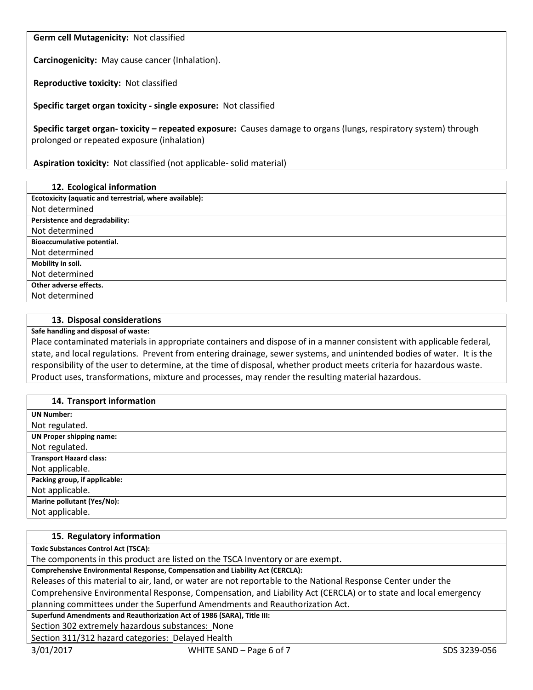**Germ cell Mutagenicity:** Not classified

**Carcinogenicity:** May cause cancer (Inhalation).

**Reproductive toxicity:** Not classified

**Specific target organ toxicity - single exposure:** Not classified

**Specific target organ- toxicity – repeated exposure:** Causes damage to organs (lungs, respiratory system) through prolonged or repeated exposure (inhalation)

**Aspiration toxicity:** Not classified (not applicable- solid material)

| 12. Ecological information                              |
|---------------------------------------------------------|
| Ecotoxicity (aquatic and terrestrial, where available): |
| Not determined                                          |
| Persistence and degradability:                          |
| Not determined                                          |
| Bioaccumulative potential.                              |
| Not determined                                          |
| Mobility in soil.                                       |
| Not determined                                          |
| Other adverse effects.                                  |
| Not determined                                          |

#### **13. Disposal considerations**

**Safe handling and disposal of waste:**

Place contaminated materials in appropriate containers and dispose of in a manner consistent with applicable federal, state, and local regulations. Prevent from entering drainage, sewer systems, and unintended bodies of water. It is the responsibility of the user to determine, at the time of disposal, whether product meets criteria for hazardous waste. Product uses, transformations, mixture and processes, may render the resulting material hazardous.

| 14. Transport information       |
|---------------------------------|
| <b>UN Number:</b>               |
| Not regulated.                  |
| <b>UN Proper shipping name:</b> |
| Not regulated.                  |
| <b>Transport Hazard class:</b>  |
| Not applicable.                 |
| Packing group, if applicable:   |
| Not applicable.                 |
| Marine pollutant (Yes/No):      |
| Not applicable.                 |

#### **15. Regulatory information**

**Toxic Substances Control Act (TSCA):**

The components in this product are listed on the TSCA Inventory or are exempt.

**Comprehensive Environmental Response, Compensation and Liability Act (CERCLA):**

Releases of this material to air, land, or water are not reportable to the National Response Center under the

Comprehensive Environmental Response, Compensation, and Liability Act (CERCLA) or to state and local emergency planning committees under the Superfund Amendments and Reauthorization Act.

**Superfund Amendments and Reauthorization Act of 1986 (SARA), Title III:**

Section 302 extremely hazardous substances: None

Section 311/312 hazard categories: Delayed Health